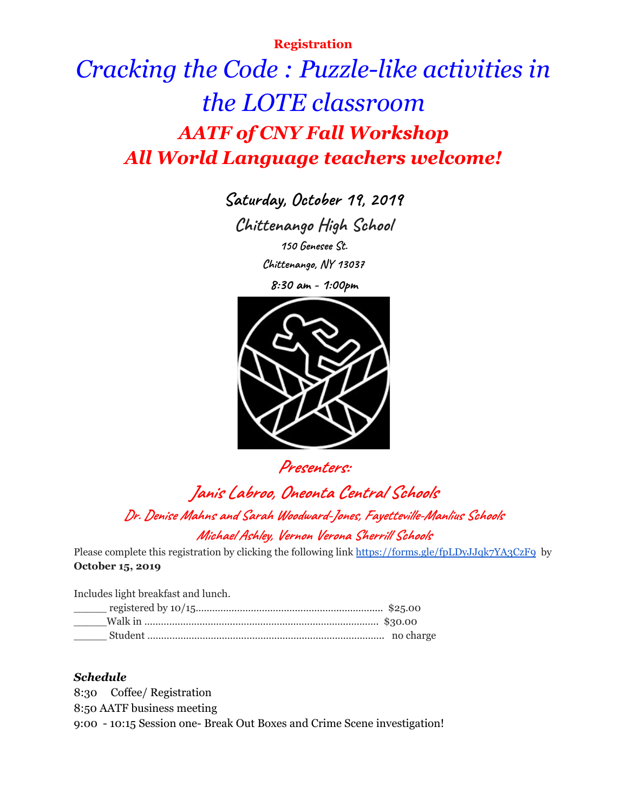## **Registration**

# *Cracking the Code : Puzzle-like activities in the LOTE classroom AATF of CNY Fall Workshop All World Language teachers welcome!*

**Saturday, October 19, 2019 Chittenango High School 150 Genesee St.**

**Chittenango, NY 13037**

**8:30 am - 1:00pm**



**Presenters:**

**Janis Labroo, Oneonta Central Schools Dr. Denise Mahns and Sarah Woodward-Jones, Fayettevil e-Manlius Schools Michael Ashley, Vernon Verona Sherril Schools**

Please complete this registration by clicking the following link <https://forms.gle/fpLDyJJqk7YA3CzF9> by **October 15, 2019**

Includes light breakfast and lunch.

#### *Schedule*

8:30 Coffee/ Registration 8:50 AATF business meeting 9:00 - 10:15 Session one- Break Out Boxes and Crime Scene investigation!